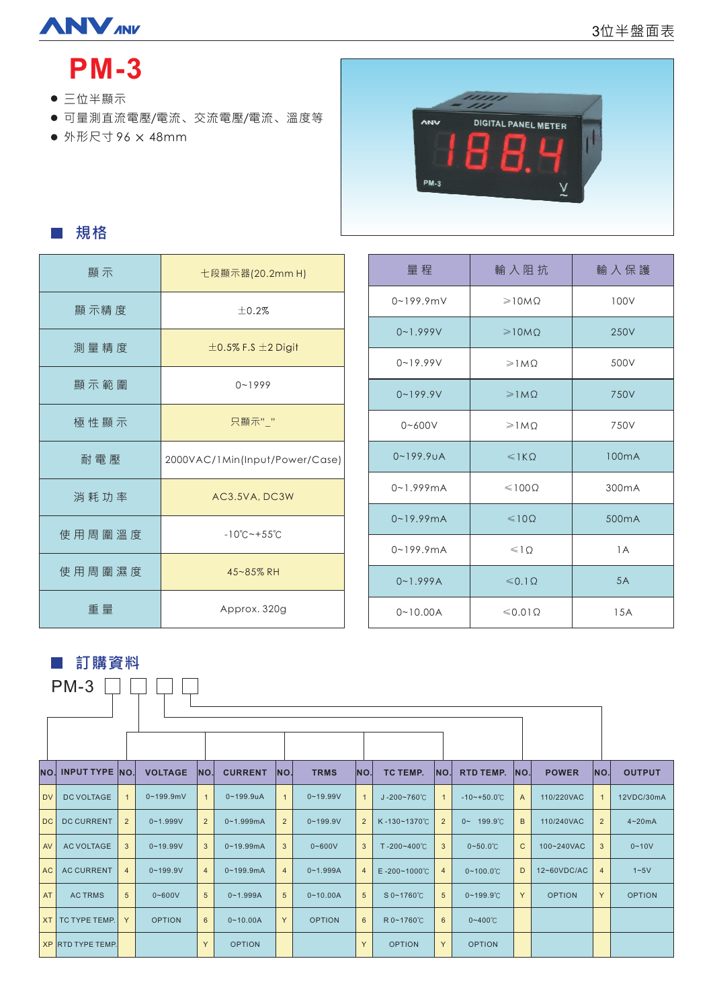# **ANVANY**

# **PM-3**

- 三位半顯示
- 可量測直流電壓/電流、交流電壓/電流、溫度等
- 96 48mm 外形尺寸



■ 規格

| 顯示     | 七段顯示器(20.2mm H)                     |  |  |  |  |  |
|--------|-------------------------------------|--|--|--|--|--|
| 顯示精度   | ±0.2%                               |  |  |  |  |  |
| 測量精度   | $\pm$ 0.5% F.S $\pm$ 2 Digit        |  |  |  |  |  |
| 顯示範圍   | $0 - 1999$                          |  |  |  |  |  |
| 極性顯示   | 只顯示""                               |  |  |  |  |  |
| 耐電壓    | 2000VAC/1Min(Input/Power/Case)      |  |  |  |  |  |
| 消耗功率   | AC3.5VA, DC3W                       |  |  |  |  |  |
| 使用周圍溫度 | $-10^{\circ}$ C ~ + 55 $^{\circ}$ C |  |  |  |  |  |
| 使用周圍濕度 | 45~85% RH                           |  |  |  |  |  |
| 重量     | Approx. 320g                        |  |  |  |  |  |

| 量程                     | 輸入阻抗                     | 輸入保護               |
|------------------------|--------------------------|--------------------|
| $0 - 199.9$ m V        | $\geq 10MO$              | 100V               |
| $0 - 1.999V$           | $\geq 10M\Omega$         | 250V               |
| $0 - 19.99V$           | $\geq 1 M \Omega$        | 500V               |
| $0 - 199.9V$           | $\geq 1MO$               | 750V               |
| $0 - 600V$             | $\geq 1 M \Omega$        | 750V               |
| $0 - 199.9$ uA         | $\leqslant$ 1 K $\Omega$ | 100 <sub>m</sub> A |
| $0 - 1.999 \text{mA}$  | $\leq 100\Omega$         | 300 <sub>m</sub> A |
| $0 - 19.99 \text{ mA}$ | $\leq 100$               | 500 <sub>m</sub> A |
| $0 - 199.9mA$          | $\leq 10$                | 1A                 |
| $0 - 1.999A$           | $\leq 0.1 \Omega$        | 5A                 |
| $0 - 10.00A$           | $\leq 0.01 \Omega$       | 15A                |

■ 訂購資料

| $PM-3$    |                       |                |                |                |                |                |               |                |                           |                |                         |     |               |                |               |
|-----------|-----------------------|----------------|----------------|----------------|----------------|----------------|---------------|----------------|---------------------------|----------------|-------------------------|-----|---------------|----------------|---------------|
|           |                       |                |                |                |                |                |               |                |                           |                |                         |     |               |                |               |
|           |                       |                |                |                |                |                |               |                |                           |                |                         |     |               |                |               |
| NO.       | <b>INPUT TYPE NO.</b> |                | <b>VOLTAGE</b> | INO.           | <b>CURRENT</b> | INO.           | <b>TRMS</b>   | NO.            | TC TEMP.                  | INO.           | <b>RTD TEMP.</b>        | NO. | <b>POWER</b>  | NO.            | <b>OUTPUT</b> |
| <b>DV</b> | <b>DC VOLTAGE</b>     | $\overline{1}$ | $0 - 199.9$ mV | $\mathbf{1}$   | $0 - 199.9$ uA | $\mathbf{1}$   | $0 - 19.99V$  | $\overline{1}$ | $J - 200 - 760^{\circ}C$  | $\mathbf{1}$   | $-10 - +50.0^{\circ}$ C | A   | 110/220VAC    | $\mathbf{1}$   | 12VDC/30mA    |
| DC        | <b>DC CURRENT</b>     | $\overline{2}$ | $0 - 1.999V$   | $\overline{2}$ | $0 - 1.999mA$  | $\overline{2}$ | $0 - 199.9V$  | $\overline{2}$ | K-130~1370°C              | $\overline{2}$ | $0 - 199.9^{\circ}C$    | B   | 110/240VAC    | $\overline{2}$ | $4 - 20mA$    |
| AV        | <b>AC VOLTAGE</b>     | 3              | $0 - 19.99V$   | 3              | $0 - 19.99$ mA | 3              | $0 - 600V$    | 3              | $T - 200 - 400^{\circ}C$  | $\mathbf{3}$   | $0 - 50.0^{\circ}$ C    | C   | 100~240VAC    | $\mathbf{3}$   | $0 - 10V$     |
| <b>AC</b> | <b>AC CURRENT</b>     | $\overline{4}$ | $0 - 199.9V$   | $\overline{4}$ | $0 - 199.9$ mA | $\overline{4}$ | $0 - 1.999A$  | $\overline{4}$ | $E - 200 - 1000^{\circ}C$ | $\overline{4}$ | $0 - 100.0^{\circ}$ C   | D   | 12~60VDC/AC   | $\overline{4}$ | $1 - 5V$      |
| <b>AT</b> | <b>ACTRMS</b>         | $\sqrt{5}$     | $0 - 600V$     | $\sqrt{5}$     | $0 - 1.999A$   | 5              | $0 - 10.00A$  | 5              | S 0~1760°C                | $\sqrt{5}$     | $0 - 199.9^{\circ}C$    | Y   | <b>OPTION</b> | Y              | <b>OPTION</b> |
| <b>XT</b> | TC TYPE TEMP.         | Y              | <b>OPTION</b>  | 6              | $0 - 10.00A$   | Y              | <b>OPTION</b> | 6              | R 0~1760°C                | $6\phantom{1}$ | $0 - 400^{\circ}C$      |     |               |                |               |
|           | XP RTD TYPE TEMP.     |                |                | Y              | <b>OPTION</b>  |                |               | Y              | <b>OPTION</b>             | Y              | <b>OPTION</b>           |     |               |                |               |